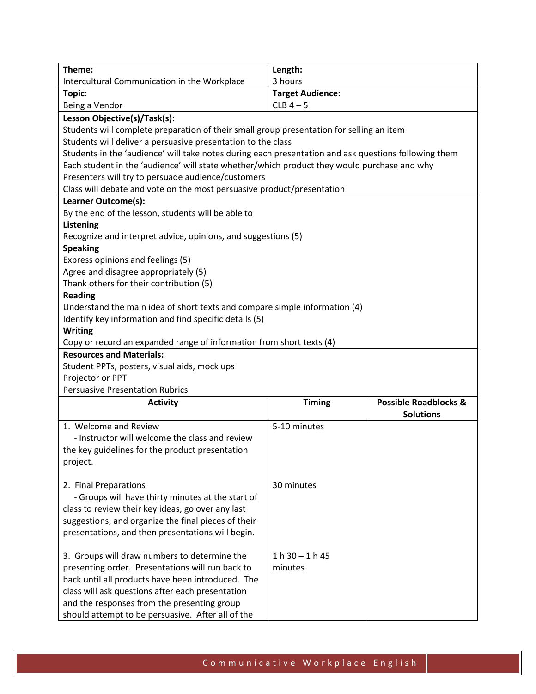| Length:<br>Theme:<br>3 hours<br>Intercultural Communication in the Workplace<br><b>Target Audience:</b><br>Topic:<br>$CLB$ 4 - 5<br>Being a Vendor<br>Lesson Objective(s)/Task(s):<br>Students will complete preparation of their small group presentation for selling an item<br>Students will deliver a persuasive presentation to the class<br>Students in the 'audience' will take notes during each presentation and ask questions following them<br>Each student in the 'audience' will state whether/which product they would purchase and why<br>Presenters will try to persuade audience/customers<br>Class will debate and vote on the most persuasive product/presentation<br>Learner Outcome(s):<br>By the end of the lesson, students will be able to<br><b>Listening</b><br>Recognize and interpret advice, opinions, and suggestions (5)<br><b>Speaking</b><br>Express opinions and feelings (5)<br>Agree and disagree appropriately (5)<br>Thank others for their contribution (5)<br><b>Reading</b><br>Understand the main idea of short texts and compare simple information (4)<br>Identify key information and find specific details (5)<br><b>Writing</b><br>Copy or record an expanded range of information from short texts (4)<br><b>Resources and Materials:</b><br>Student PPTs, posters, visual aids, mock ups<br>Projector or PPT<br><b>Persuasive Presentation Rubrics</b><br><b>Timing</b><br><b>Possible Roadblocks &amp;</b><br><b>Activity</b><br><b>Solutions</b><br>1. Welcome and Review<br>5-10 minutes<br>- Instructor will welcome the class and review<br>the key guidelines for the product presentation<br>project.<br>2. Final Preparations<br>30 minutes<br>- Groups will have thirty minutes at the start of<br>class to review their key ideas, go over any last<br>suggestions, and organize the final pieces of their<br>presentations, and then presentations will begin.<br>3. Groups will draw numbers to determine the<br>$1 h 30 - 1 h 45$<br>presenting order. Presentations will run back to<br>minutes<br>back until all products have been introduced. The<br>class will ask questions after each presentation |                                             |  |  |  |
|-------------------------------------------------------------------------------------------------------------------------------------------------------------------------------------------------------------------------------------------------------------------------------------------------------------------------------------------------------------------------------------------------------------------------------------------------------------------------------------------------------------------------------------------------------------------------------------------------------------------------------------------------------------------------------------------------------------------------------------------------------------------------------------------------------------------------------------------------------------------------------------------------------------------------------------------------------------------------------------------------------------------------------------------------------------------------------------------------------------------------------------------------------------------------------------------------------------------------------------------------------------------------------------------------------------------------------------------------------------------------------------------------------------------------------------------------------------------------------------------------------------------------------------------------------------------------------------------------------------------------------------------------------------------------------------------------------------------------------------------------------------------------------------------------------------------------------------------------------------------------------------------------------------------------------------------------------------------------------------------------------------------------------------------------------------------------------------------------------------------------------------------------------------------------|---------------------------------------------|--|--|--|
|                                                                                                                                                                                                                                                                                                                                                                                                                                                                                                                                                                                                                                                                                                                                                                                                                                                                                                                                                                                                                                                                                                                                                                                                                                                                                                                                                                                                                                                                                                                                                                                                                                                                                                                                                                                                                                                                                                                                                                                                                                                                                                                                                                         |                                             |  |  |  |
|                                                                                                                                                                                                                                                                                                                                                                                                                                                                                                                                                                                                                                                                                                                                                                                                                                                                                                                                                                                                                                                                                                                                                                                                                                                                                                                                                                                                                                                                                                                                                                                                                                                                                                                                                                                                                                                                                                                                                                                                                                                                                                                                                                         |                                             |  |  |  |
|                                                                                                                                                                                                                                                                                                                                                                                                                                                                                                                                                                                                                                                                                                                                                                                                                                                                                                                                                                                                                                                                                                                                                                                                                                                                                                                                                                                                                                                                                                                                                                                                                                                                                                                                                                                                                                                                                                                                                                                                                                                                                                                                                                         |                                             |  |  |  |
|                                                                                                                                                                                                                                                                                                                                                                                                                                                                                                                                                                                                                                                                                                                                                                                                                                                                                                                                                                                                                                                                                                                                                                                                                                                                                                                                                                                                                                                                                                                                                                                                                                                                                                                                                                                                                                                                                                                                                                                                                                                                                                                                                                         |                                             |  |  |  |
|                                                                                                                                                                                                                                                                                                                                                                                                                                                                                                                                                                                                                                                                                                                                                                                                                                                                                                                                                                                                                                                                                                                                                                                                                                                                                                                                                                                                                                                                                                                                                                                                                                                                                                                                                                                                                                                                                                                                                                                                                                                                                                                                                                         |                                             |  |  |  |
|                                                                                                                                                                                                                                                                                                                                                                                                                                                                                                                                                                                                                                                                                                                                                                                                                                                                                                                                                                                                                                                                                                                                                                                                                                                                                                                                                                                                                                                                                                                                                                                                                                                                                                                                                                                                                                                                                                                                                                                                                                                                                                                                                                         |                                             |  |  |  |
|                                                                                                                                                                                                                                                                                                                                                                                                                                                                                                                                                                                                                                                                                                                                                                                                                                                                                                                                                                                                                                                                                                                                                                                                                                                                                                                                                                                                                                                                                                                                                                                                                                                                                                                                                                                                                                                                                                                                                                                                                                                                                                                                                                         |                                             |  |  |  |
|                                                                                                                                                                                                                                                                                                                                                                                                                                                                                                                                                                                                                                                                                                                                                                                                                                                                                                                                                                                                                                                                                                                                                                                                                                                                                                                                                                                                                                                                                                                                                                                                                                                                                                                                                                                                                                                                                                                                                                                                                                                                                                                                                                         |                                             |  |  |  |
|                                                                                                                                                                                                                                                                                                                                                                                                                                                                                                                                                                                                                                                                                                                                                                                                                                                                                                                                                                                                                                                                                                                                                                                                                                                                                                                                                                                                                                                                                                                                                                                                                                                                                                                                                                                                                                                                                                                                                                                                                                                                                                                                                                         |                                             |  |  |  |
|                                                                                                                                                                                                                                                                                                                                                                                                                                                                                                                                                                                                                                                                                                                                                                                                                                                                                                                                                                                                                                                                                                                                                                                                                                                                                                                                                                                                                                                                                                                                                                                                                                                                                                                                                                                                                                                                                                                                                                                                                                                                                                                                                                         |                                             |  |  |  |
|                                                                                                                                                                                                                                                                                                                                                                                                                                                                                                                                                                                                                                                                                                                                                                                                                                                                                                                                                                                                                                                                                                                                                                                                                                                                                                                                                                                                                                                                                                                                                                                                                                                                                                                                                                                                                                                                                                                                                                                                                                                                                                                                                                         |                                             |  |  |  |
|                                                                                                                                                                                                                                                                                                                                                                                                                                                                                                                                                                                                                                                                                                                                                                                                                                                                                                                                                                                                                                                                                                                                                                                                                                                                                                                                                                                                                                                                                                                                                                                                                                                                                                                                                                                                                                                                                                                                                                                                                                                                                                                                                                         |                                             |  |  |  |
|                                                                                                                                                                                                                                                                                                                                                                                                                                                                                                                                                                                                                                                                                                                                                                                                                                                                                                                                                                                                                                                                                                                                                                                                                                                                                                                                                                                                                                                                                                                                                                                                                                                                                                                                                                                                                                                                                                                                                                                                                                                                                                                                                                         |                                             |  |  |  |
|                                                                                                                                                                                                                                                                                                                                                                                                                                                                                                                                                                                                                                                                                                                                                                                                                                                                                                                                                                                                                                                                                                                                                                                                                                                                                                                                                                                                                                                                                                                                                                                                                                                                                                                                                                                                                                                                                                                                                                                                                                                                                                                                                                         |                                             |  |  |  |
|                                                                                                                                                                                                                                                                                                                                                                                                                                                                                                                                                                                                                                                                                                                                                                                                                                                                                                                                                                                                                                                                                                                                                                                                                                                                                                                                                                                                                                                                                                                                                                                                                                                                                                                                                                                                                                                                                                                                                                                                                                                                                                                                                                         |                                             |  |  |  |
|                                                                                                                                                                                                                                                                                                                                                                                                                                                                                                                                                                                                                                                                                                                                                                                                                                                                                                                                                                                                                                                                                                                                                                                                                                                                                                                                                                                                                                                                                                                                                                                                                                                                                                                                                                                                                                                                                                                                                                                                                                                                                                                                                                         |                                             |  |  |  |
|                                                                                                                                                                                                                                                                                                                                                                                                                                                                                                                                                                                                                                                                                                                                                                                                                                                                                                                                                                                                                                                                                                                                                                                                                                                                                                                                                                                                                                                                                                                                                                                                                                                                                                                                                                                                                                                                                                                                                                                                                                                                                                                                                                         |                                             |  |  |  |
|                                                                                                                                                                                                                                                                                                                                                                                                                                                                                                                                                                                                                                                                                                                                                                                                                                                                                                                                                                                                                                                                                                                                                                                                                                                                                                                                                                                                                                                                                                                                                                                                                                                                                                                                                                                                                                                                                                                                                                                                                                                                                                                                                                         |                                             |  |  |  |
|                                                                                                                                                                                                                                                                                                                                                                                                                                                                                                                                                                                                                                                                                                                                                                                                                                                                                                                                                                                                                                                                                                                                                                                                                                                                                                                                                                                                                                                                                                                                                                                                                                                                                                                                                                                                                                                                                                                                                                                                                                                                                                                                                                         |                                             |  |  |  |
|                                                                                                                                                                                                                                                                                                                                                                                                                                                                                                                                                                                                                                                                                                                                                                                                                                                                                                                                                                                                                                                                                                                                                                                                                                                                                                                                                                                                                                                                                                                                                                                                                                                                                                                                                                                                                                                                                                                                                                                                                                                                                                                                                                         |                                             |  |  |  |
|                                                                                                                                                                                                                                                                                                                                                                                                                                                                                                                                                                                                                                                                                                                                                                                                                                                                                                                                                                                                                                                                                                                                                                                                                                                                                                                                                                                                                                                                                                                                                                                                                                                                                                                                                                                                                                                                                                                                                                                                                                                                                                                                                                         |                                             |  |  |  |
|                                                                                                                                                                                                                                                                                                                                                                                                                                                                                                                                                                                                                                                                                                                                                                                                                                                                                                                                                                                                                                                                                                                                                                                                                                                                                                                                                                                                                                                                                                                                                                                                                                                                                                                                                                                                                                                                                                                                                                                                                                                                                                                                                                         |                                             |  |  |  |
|                                                                                                                                                                                                                                                                                                                                                                                                                                                                                                                                                                                                                                                                                                                                                                                                                                                                                                                                                                                                                                                                                                                                                                                                                                                                                                                                                                                                                                                                                                                                                                                                                                                                                                                                                                                                                                                                                                                                                                                                                                                                                                                                                                         |                                             |  |  |  |
|                                                                                                                                                                                                                                                                                                                                                                                                                                                                                                                                                                                                                                                                                                                                                                                                                                                                                                                                                                                                                                                                                                                                                                                                                                                                                                                                                                                                                                                                                                                                                                                                                                                                                                                                                                                                                                                                                                                                                                                                                                                                                                                                                                         |                                             |  |  |  |
|                                                                                                                                                                                                                                                                                                                                                                                                                                                                                                                                                                                                                                                                                                                                                                                                                                                                                                                                                                                                                                                                                                                                                                                                                                                                                                                                                                                                                                                                                                                                                                                                                                                                                                                                                                                                                                                                                                                                                                                                                                                                                                                                                                         |                                             |  |  |  |
|                                                                                                                                                                                                                                                                                                                                                                                                                                                                                                                                                                                                                                                                                                                                                                                                                                                                                                                                                                                                                                                                                                                                                                                                                                                                                                                                                                                                                                                                                                                                                                                                                                                                                                                                                                                                                                                                                                                                                                                                                                                                                                                                                                         |                                             |  |  |  |
|                                                                                                                                                                                                                                                                                                                                                                                                                                                                                                                                                                                                                                                                                                                                                                                                                                                                                                                                                                                                                                                                                                                                                                                                                                                                                                                                                                                                                                                                                                                                                                                                                                                                                                                                                                                                                                                                                                                                                                                                                                                                                                                                                                         |                                             |  |  |  |
|                                                                                                                                                                                                                                                                                                                                                                                                                                                                                                                                                                                                                                                                                                                                                                                                                                                                                                                                                                                                                                                                                                                                                                                                                                                                                                                                                                                                                                                                                                                                                                                                                                                                                                                                                                                                                                                                                                                                                                                                                                                                                                                                                                         |                                             |  |  |  |
|                                                                                                                                                                                                                                                                                                                                                                                                                                                                                                                                                                                                                                                                                                                                                                                                                                                                                                                                                                                                                                                                                                                                                                                                                                                                                                                                                                                                                                                                                                                                                                                                                                                                                                                                                                                                                                                                                                                                                                                                                                                                                                                                                                         |                                             |  |  |  |
|                                                                                                                                                                                                                                                                                                                                                                                                                                                                                                                                                                                                                                                                                                                                                                                                                                                                                                                                                                                                                                                                                                                                                                                                                                                                                                                                                                                                                                                                                                                                                                                                                                                                                                                                                                                                                                                                                                                                                                                                                                                                                                                                                                         |                                             |  |  |  |
|                                                                                                                                                                                                                                                                                                                                                                                                                                                                                                                                                                                                                                                                                                                                                                                                                                                                                                                                                                                                                                                                                                                                                                                                                                                                                                                                                                                                                                                                                                                                                                                                                                                                                                                                                                                                                                                                                                                                                                                                                                                                                                                                                                         |                                             |  |  |  |
|                                                                                                                                                                                                                                                                                                                                                                                                                                                                                                                                                                                                                                                                                                                                                                                                                                                                                                                                                                                                                                                                                                                                                                                                                                                                                                                                                                                                                                                                                                                                                                                                                                                                                                                                                                                                                                                                                                                                                                                                                                                                                                                                                                         |                                             |  |  |  |
|                                                                                                                                                                                                                                                                                                                                                                                                                                                                                                                                                                                                                                                                                                                                                                                                                                                                                                                                                                                                                                                                                                                                                                                                                                                                                                                                                                                                                                                                                                                                                                                                                                                                                                                                                                                                                                                                                                                                                                                                                                                                                                                                                                         |                                             |  |  |  |
|                                                                                                                                                                                                                                                                                                                                                                                                                                                                                                                                                                                                                                                                                                                                                                                                                                                                                                                                                                                                                                                                                                                                                                                                                                                                                                                                                                                                                                                                                                                                                                                                                                                                                                                                                                                                                                                                                                                                                                                                                                                                                                                                                                         |                                             |  |  |  |
|                                                                                                                                                                                                                                                                                                                                                                                                                                                                                                                                                                                                                                                                                                                                                                                                                                                                                                                                                                                                                                                                                                                                                                                                                                                                                                                                                                                                                                                                                                                                                                                                                                                                                                                                                                                                                                                                                                                                                                                                                                                                                                                                                                         |                                             |  |  |  |
|                                                                                                                                                                                                                                                                                                                                                                                                                                                                                                                                                                                                                                                                                                                                                                                                                                                                                                                                                                                                                                                                                                                                                                                                                                                                                                                                                                                                                                                                                                                                                                                                                                                                                                                                                                                                                                                                                                                                                                                                                                                                                                                                                                         |                                             |  |  |  |
|                                                                                                                                                                                                                                                                                                                                                                                                                                                                                                                                                                                                                                                                                                                                                                                                                                                                                                                                                                                                                                                                                                                                                                                                                                                                                                                                                                                                                                                                                                                                                                                                                                                                                                                                                                                                                                                                                                                                                                                                                                                                                                                                                                         |                                             |  |  |  |
|                                                                                                                                                                                                                                                                                                                                                                                                                                                                                                                                                                                                                                                                                                                                                                                                                                                                                                                                                                                                                                                                                                                                                                                                                                                                                                                                                                                                                                                                                                                                                                                                                                                                                                                                                                                                                                                                                                                                                                                                                                                                                                                                                                         |                                             |  |  |  |
|                                                                                                                                                                                                                                                                                                                                                                                                                                                                                                                                                                                                                                                                                                                                                                                                                                                                                                                                                                                                                                                                                                                                                                                                                                                                                                                                                                                                                                                                                                                                                                                                                                                                                                                                                                                                                                                                                                                                                                                                                                                                                                                                                                         |                                             |  |  |  |
|                                                                                                                                                                                                                                                                                                                                                                                                                                                                                                                                                                                                                                                                                                                                                                                                                                                                                                                                                                                                                                                                                                                                                                                                                                                                                                                                                                                                                                                                                                                                                                                                                                                                                                                                                                                                                                                                                                                                                                                                                                                                                                                                                                         |                                             |  |  |  |
|                                                                                                                                                                                                                                                                                                                                                                                                                                                                                                                                                                                                                                                                                                                                                                                                                                                                                                                                                                                                                                                                                                                                                                                                                                                                                                                                                                                                                                                                                                                                                                                                                                                                                                                                                                                                                                                                                                                                                                                                                                                                                                                                                                         |                                             |  |  |  |
|                                                                                                                                                                                                                                                                                                                                                                                                                                                                                                                                                                                                                                                                                                                                                                                                                                                                                                                                                                                                                                                                                                                                                                                                                                                                                                                                                                                                                                                                                                                                                                                                                                                                                                                                                                                                                                                                                                                                                                                                                                                                                                                                                                         |                                             |  |  |  |
|                                                                                                                                                                                                                                                                                                                                                                                                                                                                                                                                                                                                                                                                                                                                                                                                                                                                                                                                                                                                                                                                                                                                                                                                                                                                                                                                                                                                                                                                                                                                                                                                                                                                                                                                                                                                                                                                                                                                                                                                                                                                                                                                                                         |                                             |  |  |  |
|                                                                                                                                                                                                                                                                                                                                                                                                                                                                                                                                                                                                                                                                                                                                                                                                                                                                                                                                                                                                                                                                                                                                                                                                                                                                                                                                                                                                                                                                                                                                                                                                                                                                                                                                                                                                                                                                                                                                                                                                                                                                                                                                                                         |                                             |  |  |  |
|                                                                                                                                                                                                                                                                                                                                                                                                                                                                                                                                                                                                                                                                                                                                                                                                                                                                                                                                                                                                                                                                                                                                                                                                                                                                                                                                                                                                                                                                                                                                                                                                                                                                                                                                                                                                                                                                                                                                                                                                                                                                                                                                                                         | and the responses from the presenting group |  |  |  |
| should attempt to be persuasive. After all of the                                                                                                                                                                                                                                                                                                                                                                                                                                                                                                                                                                                                                                                                                                                                                                                                                                                                                                                                                                                                                                                                                                                                                                                                                                                                                                                                                                                                                                                                                                                                                                                                                                                                                                                                                                                                                                                                                                                                                                                                                                                                                                                       |                                             |  |  |  |